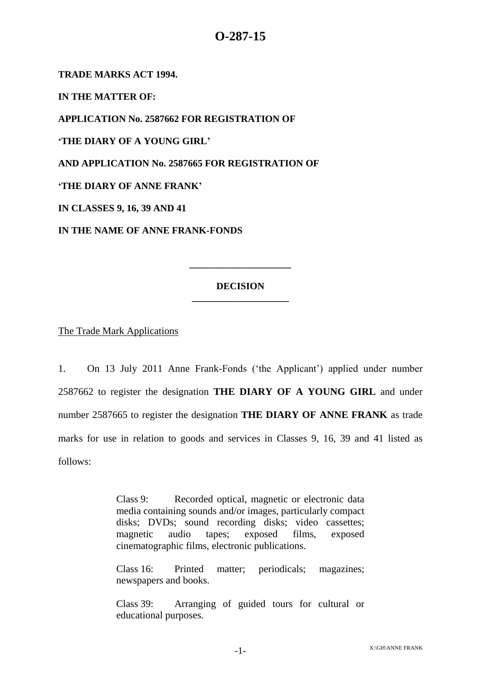**TRADE MARKS ACT 1994.**

**IN THE MATTER OF:**

**APPLICATION No. 2587662 FOR REGISTRATION OF**

**'THE DIARY OF A YOUNG GIRL'**

**AND APPLICATION No. 2587665 FOR REGISTRATION OF**

**'THE DIARY OF ANNE FRANK'**

**IN CLASSES 9, 16, 39 AND 41**

**IN THE NAME OF ANNE FRANK-FONDS**

#### **DECISION \_\_\_\_\_\_\_\_\_\_\_\_\_\_\_\_\_\_\_\_**

**\_\_\_\_\_\_\_\_\_\_\_\_\_\_\_\_\_\_\_\_\_**

The Trade Mark Applications

1. On 13 July 2011 Anne Frank-Fonds ('the Applicant') applied under number 2587662 to register the designation **THE DIARY OF A YOUNG GIRL** and under number 2587665 to register the designation **THE DIARY OF ANNE FRANK** as trade marks for use in relation to goods and services in Classes 9, 16, 39 and 41 listed as follows:

> Class 9: Recorded optical, magnetic or electronic data media containing sounds and/or images, particularly compact disks; DVDs; sound recording disks; video cassettes; magnetic audio tapes; exposed films, exposed cinematographic films, electronic publications.

> Class 16: Printed matter; periodicals; magazines; newspapers and books.

> Class 39: Arranging of guided tours for cultural or educational purposes.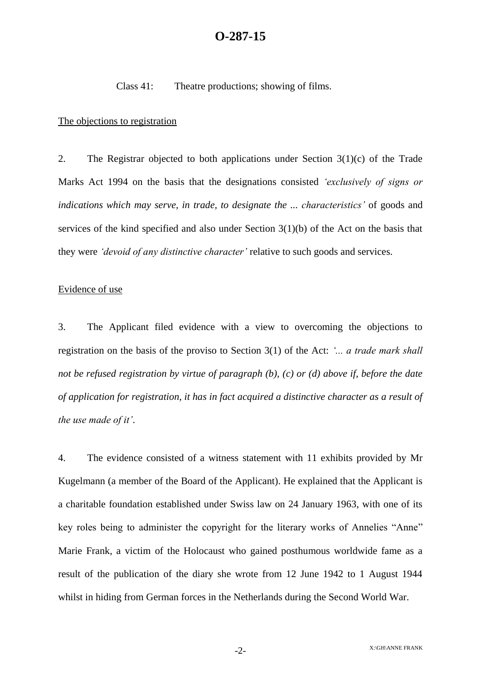Class 41: Theatre productions; showing of films.

#### The objections to registration

2. The Registrar objected to both applications under Section  $3(1)(c)$  of the Trade Marks Act 1994 on the basis that the designations consisted *'exclusively of signs or indications which may serve, in trade, to designate the ... characteristics'* of goods and services of the kind specified and also under Section 3(1)(b) of the Act on the basis that they were *'devoid of any distinctive character'* relative to such goods and services.

#### Evidence of use

3. The Applicant filed evidence with a view to overcoming the objections to registration on the basis of the proviso to Section 3(1) of the Act: *'... a trade mark shall not be refused registration by virtue of paragraph (b), (c) or (d) above if, before the date of application for registration, it has in fact acquired a distinctive character as a result of the use made of it'*.

4. The evidence consisted of a witness statement with 11 exhibits provided by Mr Kugelmann (a member of the Board of the Applicant). He explained that the Applicant is a charitable foundation established under Swiss law on 24 January 1963, with one of its key roles being to administer the copyright for the literary works of Annelies "Anne" Marie Frank, a victim of the Holocaust who gained posthumous worldwide fame as a result of the publication of the diary she wrote from 12 June 1942 to 1 August 1944 whilst in hiding from German forces in the Netherlands during the Second World War.

-2-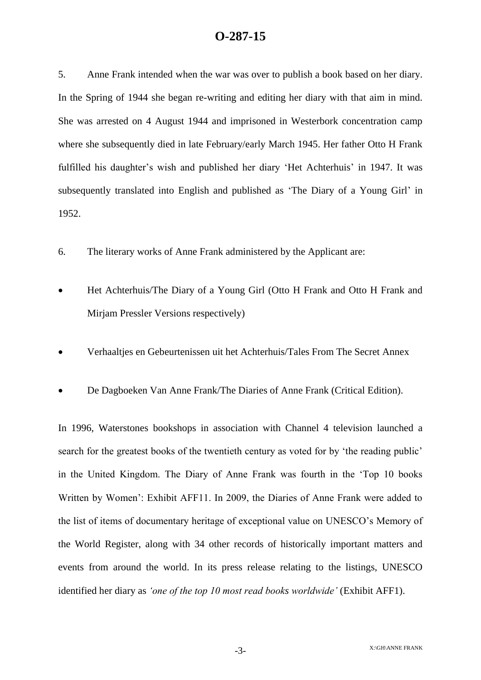5. Anne Frank intended when the war was over to publish a book based on her diary. In the Spring of 1944 she began re-writing and editing her diary with that aim in mind. She was arrested on 4 August 1944 and imprisoned in Westerbork concentration camp where she subsequently died in late February/early March 1945. Her father Otto H Frank fulfilled his daughter's wish and published her diary 'Het Achterhuis' in 1947. It was subsequently translated into English and published as 'The Diary of a Young Girl' in 1952.

- 6. The literary works of Anne Frank administered by the Applicant are:
- Het Achterhuis/The Diary of a Young Girl (Otto H Frank and Otto H Frank and Mirjam Pressler Versions respectively)
- Verhaaltjes en Gebeurtenissen uit het Achterhuis/Tales From The Secret Annex
- De Dagboeken Van Anne Frank/The Diaries of Anne Frank (Critical Edition).

In 1996, Waterstones bookshops in association with Channel 4 television launched a search for the greatest books of the twentieth century as voted for by 'the reading public' in the United Kingdom. The Diary of Anne Frank was fourth in the 'Top 10 books Written by Women': Exhibit AFF11. In 2009, the Diaries of Anne Frank were added to the list of items of documentary heritage of exceptional value on UNESCO's Memory of the World Register, along with 34 other records of historically important matters and events from around the world. In its press release relating to the listings, UNESCO identified her diary as *'one of the top 10 most read books worldwide'* (Exhibit AFF1).

-3-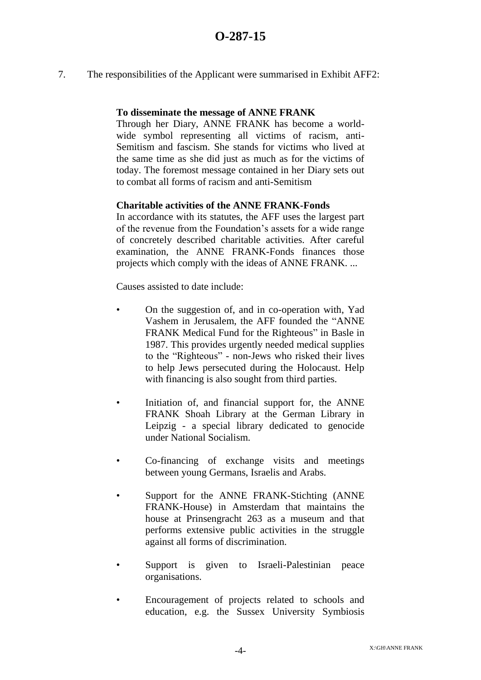7. The responsibilities of the Applicant were summarised in Exhibit AFF2:

#### **To disseminate the message of ANNE FRANK**

Through her Diary, ANNE FRANK has become a worldwide symbol representing all victims of racism, anti-Semitism and fascism. She stands for victims who lived at the same time as she did just as much as for the victims of today. The foremost message contained in her Diary sets out to combat all forms of racism and anti-Semitism

#### **Charitable activities of the ANNE FRANK-Fonds**

In accordance with its statutes, the AFF uses the largest part of the revenue from the Foundation's assets for a wide range of concretely described charitable activities. After careful examination, the ANNE FRANK-Fonds finances those projects which comply with the ideas of ANNE FRANK. ...

Causes assisted to date include:

- On the suggestion of, and in co-operation with, Yad Vashem in Jerusalem, the AFF founded the "ANNE FRANK Medical Fund for the Righteous" in Basle in 1987. This provides urgently needed medical supplies to the "Righteous" - non-Jews who risked their lives to help Jews persecuted during the Holocaust. Help with financing is also sought from third parties.
- Initiation of, and financial support for, the ANNE FRANK Shoah Library at the German Library in Leipzig - a special library dedicated to genocide under National Socialism.
- Co-financing of exchange visits and meetings between young Germans, Israelis and Arabs.
- Support for the ANNE FRANK-Stichting (ANNE FRANK-House) in Amsterdam that maintains the house at Prinsengracht 263 as a museum and that performs extensive public activities in the struggle against all forms of discrimination.
- Support is given to Israeli-Palestinian peace organisations.
- Encouragement of projects related to schools and education, e.g. the Sussex University Symbiosis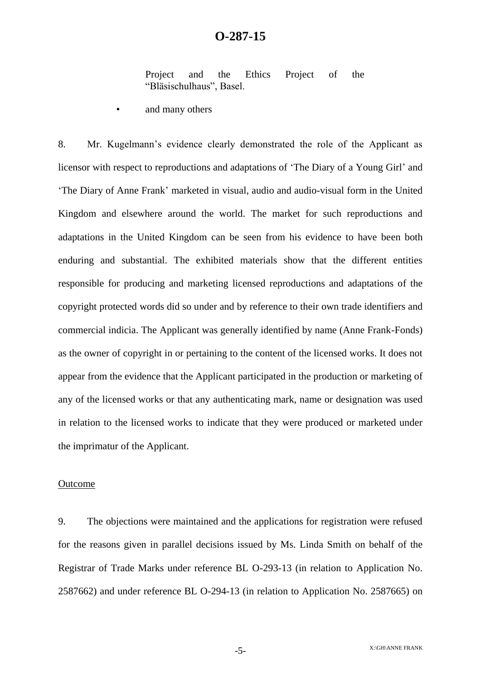Project and the Ethics Project of the "Bläsischulhaus", Basel.

and many others

8. Mr. Kugelmann's evidence clearly demonstrated the role of the Applicant as licensor with respect to reproductions and adaptations of 'The Diary of a Young Girl' and 'The Diary of Anne Frank' marketed in visual, audio and audio-visual form in the United Kingdom and elsewhere around the world. The market for such reproductions and adaptations in the United Kingdom can be seen from his evidence to have been both enduring and substantial. The exhibited materials show that the different entities responsible for producing and marketing licensed reproductions and adaptations of the copyright protected words did so under and by reference to their own trade identifiers and commercial indicia. The Applicant was generally identified by name (Anne Frank-Fonds) as the owner of copyright in or pertaining to the content of the licensed works. It does not appear from the evidence that the Applicant participated in the production or marketing of any of the licensed works or that any authenticating mark, name or designation was used in relation to the licensed works to indicate that they were produced or marketed under the imprimatur of the Applicant.

#### Outcome

9. The objections were maintained and the applications for registration were refused for the reasons given in parallel decisions issued by Ms. Linda Smith on behalf of the Registrar of Trade Marks under reference BL O-293-13 (in relation to Application No. 2587662) and under reference BL O-294-13 (in relation to Application No. 2587665) on

-5-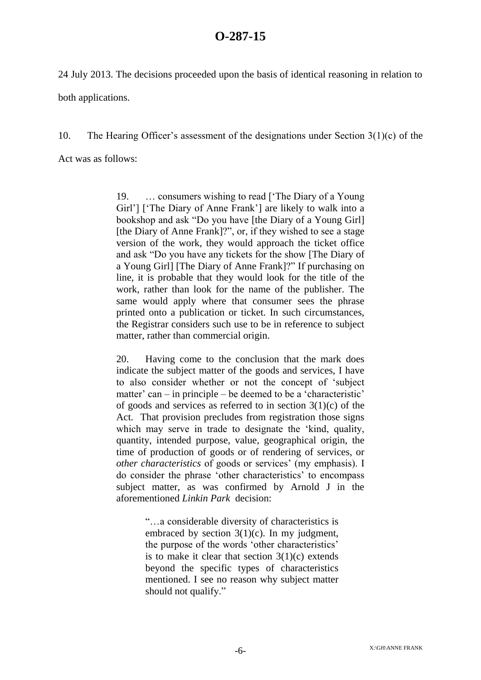24 July 2013. The decisions proceeded upon the basis of identical reasoning in relation to both applications.

10. The Hearing Officer's assessment of the designations under Section 3(1)(c) of the Act was as follows:

> 19. … consumers wishing to read ['The Diary of a Young Girl'] ['The Diary of Anne Frank'] are likely to walk into a bookshop and ask "Do you have [the Diary of a Young Girl] [the Diary of Anne Frank]?", or, if they wished to see a stage version of the work, they would approach the ticket office and ask "Do you have any tickets for the show [The Diary of a Young Girl] [The Diary of Anne Frank]?" If purchasing on line, it is probable that they would look for the title of the work, rather than look for the name of the publisher. The same would apply where that consumer sees the phrase printed onto a publication or ticket. In such circumstances, the Registrar considers such use to be in reference to subject matter, rather than commercial origin.

> 20. Having come to the conclusion that the mark does indicate the subject matter of the goods and services, I have to also consider whether or not the concept of 'subject matter' can – in principle – be deemed to be a 'characteristic' of goods and services as referred to in section  $3(1)(c)$  of the Act. That provision precludes from registration those signs which may serve in trade to designate the 'kind, quality, quantity, intended purpose, value, geographical origin, the time of production of goods or of rendering of services, or *other characteristics* of goods or services' (my emphasis). I do consider the phrase 'other characteristics' to encompass subject matter, as was confirmed by Arnold J in the aforementioned *Linkin Park* decision:

> > "…a considerable diversity of characteristics is embraced by section  $3(1)(c)$ . In my judgment, the purpose of the words 'other characteristics' is to make it clear that section  $3(1)(c)$  extends beyond the specific types of characteristics mentioned. I see no reason why subject matter should not qualify."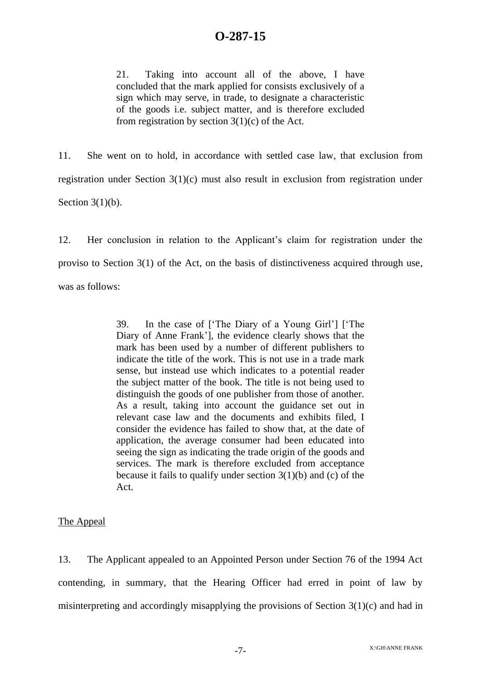21. Taking into account all of the above, I have concluded that the mark applied for consists exclusively of a sign which may serve, in trade, to designate a characteristic of the goods i.e. subject matter, and is therefore excluded from registration by section  $3(1)(c)$  of the Act.

11. She went on to hold, in accordance with settled case law, that exclusion from registration under Section 3(1)(c) must also result in exclusion from registration under Section 3(1)(b).

12. Her conclusion in relation to the Applicant's claim for registration under the proviso to Section  $3(1)$  of the Act, on the basis of distinctiveness acquired through use, was as follows:

> 39. In the case of ['The Diary of a Young Girl'] ['The Diary of Anne Frank'], the evidence clearly shows that the mark has been used by a number of different publishers to indicate the title of the work. This is not use in a trade mark sense, but instead use which indicates to a potential reader the subject matter of the book. The title is not being used to distinguish the goods of one publisher from those of another. As a result, taking into account the guidance set out in relevant case law and the documents and exhibits filed, I consider the evidence has failed to show that, at the date of application, the average consumer had been educated into seeing the sign as indicating the trade origin of the goods and services. The mark is therefore excluded from acceptance because it fails to qualify under section 3(1)(b) and (c) of the Act.

The Appeal

13. The Applicant appealed to an Appointed Person under Section 76 of the 1994 Act contending, in summary, that the Hearing Officer had erred in point of law by misinterpreting and accordingly misapplying the provisions of Section 3(1)(c) and had in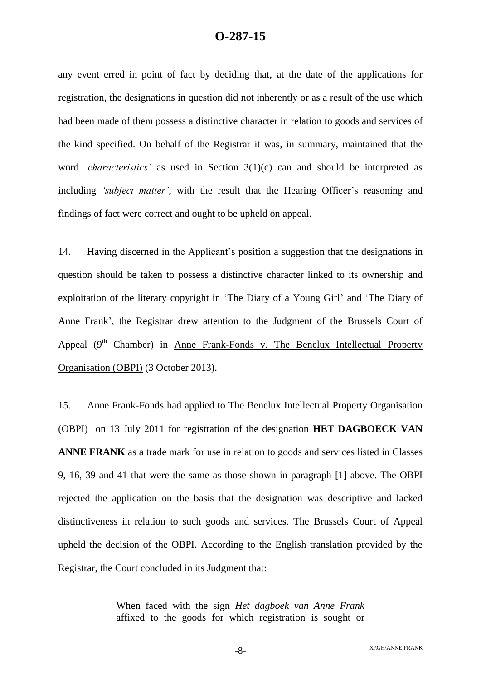any event erred in point of fact by deciding that, at the date of the applications for registration, the designations in question did not inherently or as a result of the use which had been made of them possess a distinctive character in relation to goods and services of the kind specified. On behalf of the Registrar it was, in summary, maintained that the word *'characteristics'* as used in Section 3(1)(c) can and should be interpreted as including *'subject matter'*, with the result that the Hearing Officer's reasoning and findings of fact were correct and ought to be upheld on appeal.

14. Having discerned in the Applicant's position a suggestion that the designations in question should be taken to possess a distinctive character linked to its ownership and exploitation of the literary copyright in 'The Diary of a Young Girl' and 'The Diary of Anne Frank', the Registrar drew attention to the Judgment of the Brussels Court of Appeal  $(9<sup>th</sup>$  Chamber) in Anne Frank-Fonds v. The Benelux Intellectual Property Organisation (OBPI) (3 October 2013).

15. Anne Frank-Fonds had applied to The Benelux Intellectual Property Organisation (OBPI) on 13 July 2011 for registration of the designation **HET DAGBOECK VAN ANNE FRANK** as a trade mark for use in relation to goods and services listed in Classes 9, 16, 39 and 41 that were the same as those shown in paragraph [1] above. The OBPI rejected the application on the basis that the designation was descriptive and lacked distinctiveness in relation to such goods and services. The Brussels Court of Appeal upheld the decision of the OBPI. According to the English translation provided by the Registrar, the Court concluded in its Judgment that:

> When faced with the sign *Het dagboek van Anne Frank* affixed to the goods for which registration is sought or

-8-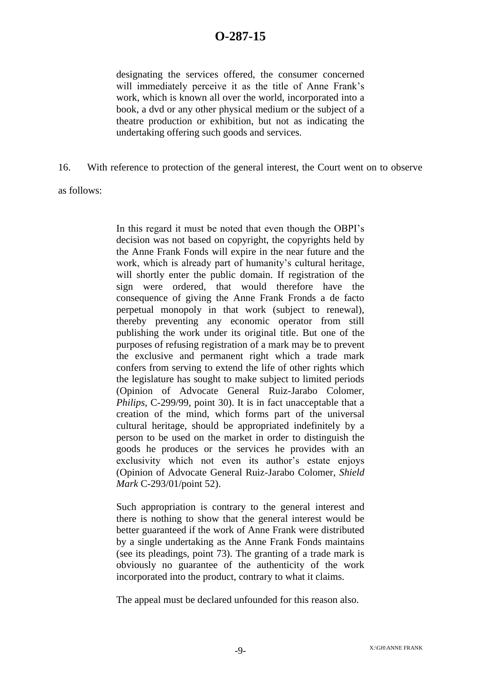designating the services offered, the consumer concerned will immediately perceive it as the title of Anne Frank's work, which is known all over the world, incorporated into a book, a dvd or any other physical medium or the subject of a theatre production or exhibition, but not as indicating the undertaking offering such goods and services.

16. With reference to protection of the general interest, the Court went on to observe

as follows:

In this regard it must be noted that even though the OBPI's decision was not based on copyright, the copyrights held by the Anne Frank Fonds will expire in the near future and the work, which is already part of humanity's cultural heritage, will shortly enter the public domain. If registration of the sign were ordered, that would therefore have the consequence of giving the Anne Frank Fronds a de facto perpetual monopoly in that work (subject to renewal), thereby preventing any economic operator from still publishing the work under its original title. But one of the purposes of refusing registration of a mark may be to prevent the exclusive and permanent right which a trade mark confers from serving to extend the life of other rights which the legislature has sought to make subject to limited periods (Opinion of Advocate General Ruiz-Jarabo Colomer, *Philips*, C-299/99, point 30). It is in fact unacceptable that a creation of the mind, which forms part of the universal cultural heritage, should be appropriated indefinitely by a person to be used on the market in order to distinguish the goods he produces or the services he provides with an exclusivity which not even its author's estate enjoys (Opinion of Advocate General Ruiz-Jarabo Colomer, *Shield Mark* C-293/01/point 52).

Such appropriation is contrary to the general interest and there is nothing to show that the general interest would be better guaranteed if the work of Anne Frank were distributed by a single undertaking as the Anne Frank Fonds maintains (see its pleadings, point 73). The granting of a trade mark is obviously no guarantee of the authenticity of the work incorporated into the product, contrary to what it claims.

The appeal must be declared unfounded for this reason also.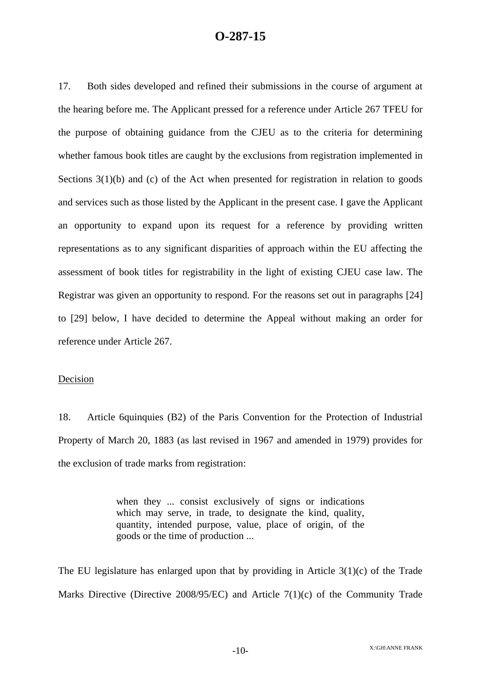17. Both sides developed and refined their submissions in the course of argument at the hearing before me. The Applicant pressed for a reference under Article 267 TFEU for the purpose of obtaining guidance from the CJEU as to the criteria for determining whether famous book titles are caught by the exclusions from registration implemented in Sections 3(1)(b) and (c) of the Act when presented for registration in relation to goods and services such as those listed by the Applicant in the present case. I gave the Applicant an opportunity to expand upon its request for a reference by providing written representations as to any significant disparities of approach within the EU affecting the assessment of book titles for registrability in the light of existing CJEU case law. The Registrar was given an opportunity to respond. For the reasons set out in paragraphs [24] to [29] below, I have decided to determine the Appeal without making an order for reference under Article 267.

#### Decision

18. Article 6quinquies (B2) of the Paris Convention for the Protection of Industrial Property of March 20, 1883 (as last revised in 1967 and amended in 1979) provides for the exclusion of trade marks from registration:

> when they ... consist exclusively of signs or indications which may serve, in trade, to designate the kind, quality, quantity, intended purpose, value, place of origin, of the goods or the time of production ...

The EU legislature has enlarged upon that by providing in Article 3(1)(c) of the Trade Marks Directive (Directive 2008/95/EC) and Article 7(1)(c) of the Community Trade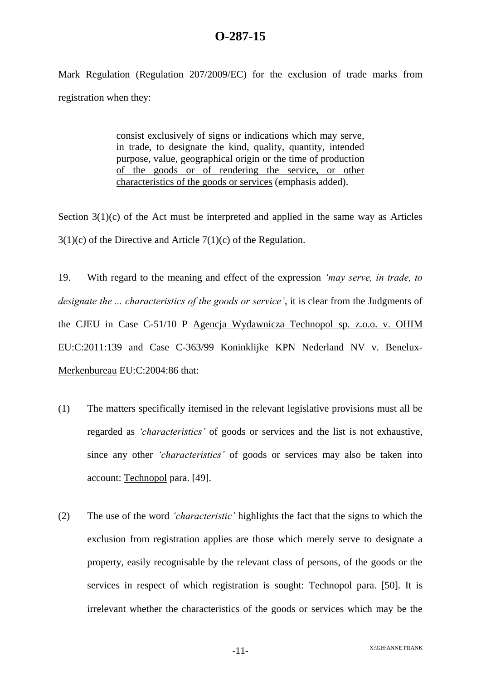Mark Regulation (Regulation 207/2009/EC) for the exclusion of trade marks from registration when they:

> consist exclusively of signs or indications which may serve, in trade, to designate the kind, quality, quantity, intended purpose, value, geographical origin or the time of production of the goods or of rendering the service, or other characteristics of the goods or services (emphasis added).

Section 3(1)(c) of the Act must be interpreted and applied in the same way as Articles  $3(1)(c)$  of the Directive and Article  $7(1)(c)$  of the Regulation.

19. With regard to the meaning and effect of the expression *'may serve, in trade, to designate the ... characteristics of the goods or service'*, it is clear from the Judgments of the CJEU in Case C-51/10 P Agencja Wydawnicza Technopol sp. z.o.o. v. OHIM EU:C:2011:139 and Case C-363/99 Koninklijke KPN Nederland NV v. Benelux-Merkenbureau EU:C:2004:86 that:

- (1) The matters specifically itemised in the relevant legislative provisions must all be regarded as *'characteristics'* of goods or services and the list is not exhaustive, since any other *'characteristics'* of goods or services may also be taken into account: Technopol para. [49].
- (2) The use of the word *'characteristic'* highlights the fact that the signs to which the exclusion from registration applies are those which merely serve to designate a property, easily recognisable by the relevant class of persons, of the goods or the services in respect of which registration is sought: Technopol para. [50]. It is irrelevant whether the characteristics of the goods or services which may be the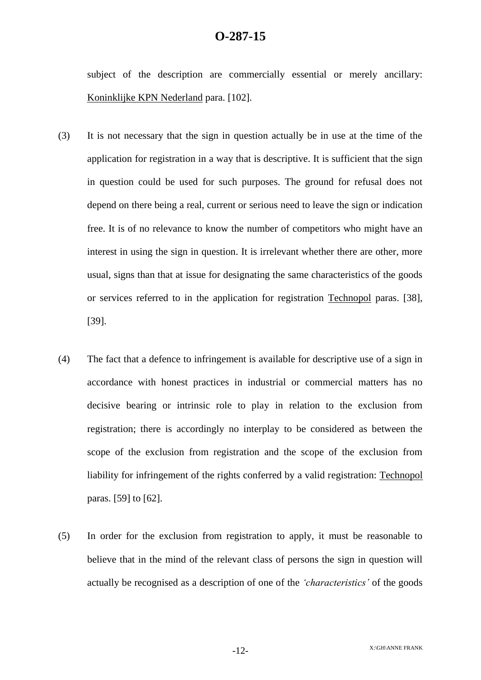subject of the description are commercially essential or merely ancillary: Koninklijke KPN Nederland para. [102].

- (3) It is not necessary that the sign in question actually be in use at the time of the application for registration in a way that is descriptive. It is sufficient that the sign in question could be used for such purposes. The ground for refusal does not depend on there being a real, current or serious need to leave the sign or indication free. It is of no relevance to know the number of competitors who might have an interest in using the sign in question. It is irrelevant whether there are other, more usual, signs than that at issue for designating the same characteristics of the goods or services referred to in the application for registration Technopol paras. [38], [39].
- (4) The fact that a defence to infringement is available for descriptive use of a sign in accordance with honest practices in industrial or commercial matters has no decisive bearing or intrinsic role to play in relation to the exclusion from registration; there is accordingly no interplay to be considered as between the scope of the exclusion from registration and the scope of the exclusion from liability for infringement of the rights conferred by a valid registration: Technopol paras. [59] to [62].
- (5) In order for the exclusion from registration to apply, it must be reasonable to believe that in the mind of the relevant class of persons the sign in question will actually be recognised as a description of one of the *'characteristics'* of the goods

-12-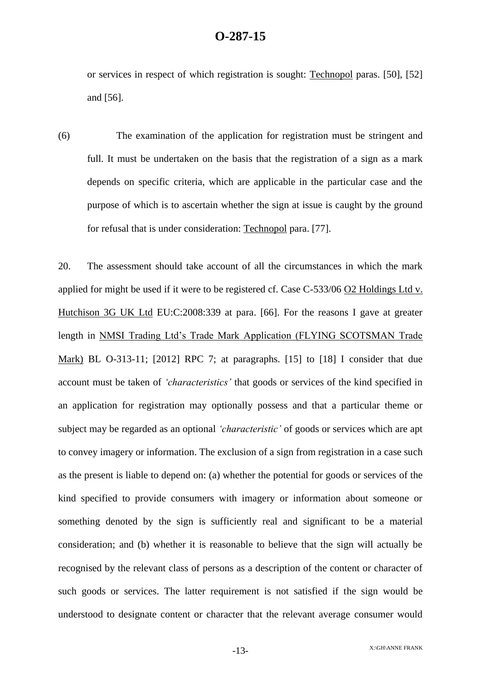or services in respect of which registration is sought: Technopol paras. [50], [52] and [56].

(6) The examination of the application for registration must be stringent and full. It must be undertaken on the basis that the registration of a sign as a mark depends on specific criteria, which are applicable in the particular case and the purpose of which is to ascertain whether the sign at issue is caught by the ground for refusal that is under consideration: Technopol para. [77].

20. The assessment should take account of all the circumstances in which the mark applied for might be used if it were to be registered cf. Case C-533/06 O2 Holdings Ltd v. Hutchison 3G UK Ltd EU:C:2008:339 at para. [66]. For the reasons I gave at greater length in NMSI Trading Ltd's Trade Mark Application (FLYING SCOTSMAN Trade Mark) BL O-313-11; [2012] RPC 7; at paragraphs. [15] to [18] I consider that due account must be taken of *'characteristics'* that goods or services of the kind specified in an application for registration may optionally possess and that a particular theme or subject may be regarded as an optional *'characteristic'* of goods or services which are apt to convey imagery or information. The exclusion of a sign from registration in a case such as the present is liable to depend on: (a) whether the potential for goods or services of the kind specified to provide consumers with imagery or information about someone or something denoted by the sign is sufficiently real and significant to be a material consideration; and (b) whether it is reasonable to believe that the sign will actually be recognised by the relevant class of persons as a description of the content or character of such goods or services. The latter requirement is not satisfied if the sign would be understood to designate content or character that the relevant average consumer would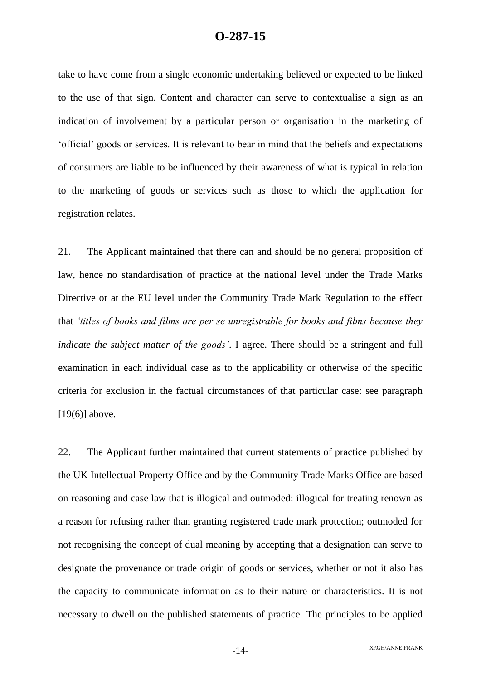take to have come from a single economic undertaking believed or expected to be linked to the use of that sign. Content and character can serve to contextualise a sign as an indication of involvement by a particular person or organisation in the marketing of 'official' goods or services. It is relevant to bear in mind that the beliefs and expectations of consumers are liable to be influenced by their awareness of what is typical in relation to the marketing of goods or services such as those to which the application for registration relates.

21. The Applicant maintained that there can and should be no general proposition of law, hence no standardisation of practice at the national level under the Trade Marks Directive or at the EU level under the Community Trade Mark Regulation to the effect that *'titles of books and films are per se unregistrable for books and films because they indicate the subject matter of the goods'*. I agree. There should be a stringent and full examination in each individual case as to the applicability or otherwise of the specific criteria for exclusion in the factual circumstances of that particular case: see paragraph  $[19(6)]$  above.

22. The Applicant further maintained that current statements of practice published by the UK Intellectual Property Office and by the Community Trade Marks Office are based on reasoning and case law that is illogical and outmoded: illogical for treating renown as a reason for refusing rather than granting registered trade mark protection; outmoded for not recognising the concept of dual meaning by accepting that a designation can serve to designate the provenance or trade origin of goods or services, whether or not it also has the capacity to communicate information as to their nature or characteristics. It is not necessary to dwell on the published statements of practice. The principles to be applied

-14-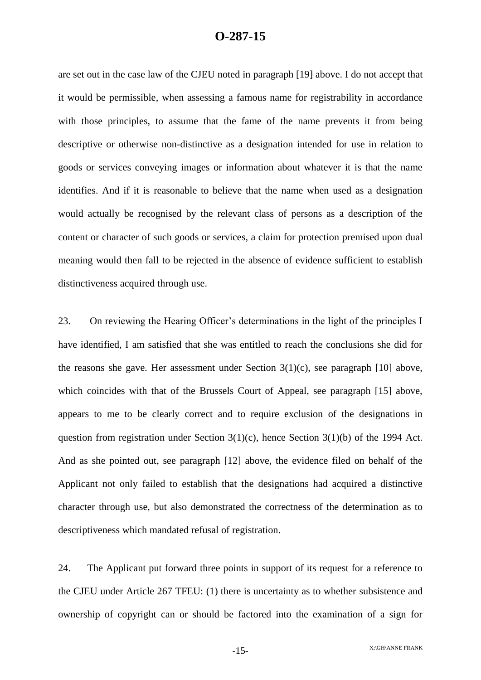are set out in the case law of the CJEU noted in paragraph [19] above. I do not accept that it would be permissible, when assessing a famous name for registrability in accordance with those principles, to assume that the fame of the name prevents it from being descriptive or otherwise non-distinctive as a designation intended for use in relation to goods or services conveying images or information about whatever it is that the name identifies. And if it is reasonable to believe that the name when used as a designation would actually be recognised by the relevant class of persons as a description of the content or character of such goods or services, a claim for protection premised upon dual meaning would then fall to be rejected in the absence of evidence sufficient to establish distinctiveness acquired through use.

23. On reviewing the Hearing Officer's determinations in the light of the principles I have identified, I am satisfied that she was entitled to reach the conclusions she did for the reasons she gave. Her assessment under Section  $3(1)(c)$ , see paragraph [10] above, which coincides with that of the Brussels Court of Appeal, see paragraph [15] above, appears to me to be clearly correct and to require exclusion of the designations in question from registration under Section 3(1)(c), hence Section 3(1)(b) of the 1994 Act. And as she pointed out, see paragraph [12] above, the evidence filed on behalf of the Applicant not only failed to establish that the designations had acquired a distinctive character through use, but also demonstrated the correctness of the determination as to descriptiveness which mandated refusal of registration.

24. The Applicant put forward three points in support of its request for a reference to the CJEU under Article 267 TFEU: (1) there is uncertainty as to whether subsistence and ownership of copyright can or should be factored into the examination of a sign for

-15-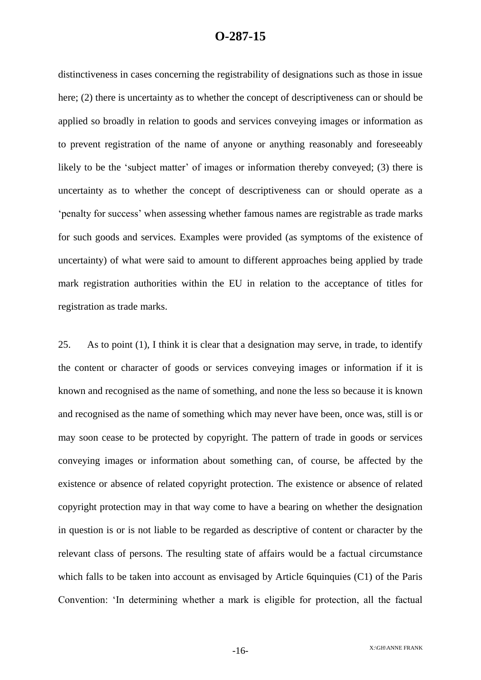distinctiveness in cases concerning the registrability of designations such as those in issue here; (2) there is uncertainty as to whether the concept of descriptiveness can or should be applied so broadly in relation to goods and services conveying images or information as to prevent registration of the name of anyone or anything reasonably and foreseeably likely to be the 'subject matter' of images or information thereby conveyed; (3) there is uncertainty as to whether the concept of descriptiveness can or should operate as a 'penalty for success' when assessing whether famous names are registrable as trade marks for such goods and services. Examples were provided (as symptoms of the existence of uncertainty) of what were said to amount to different approaches being applied by trade mark registration authorities within the EU in relation to the acceptance of titles for registration as trade marks.

25. As to point (1), I think it is clear that a designation may serve, in trade, to identify the content or character of goods or services conveying images or information if it is known and recognised as the name of something, and none the less so because it is known and recognised as the name of something which may never have been, once was, still is or may soon cease to be protected by copyright. The pattern of trade in goods or services conveying images or information about something can, of course, be affected by the existence or absence of related copyright protection. The existence or absence of related copyright protection may in that way come to have a bearing on whether the designation in question is or is not liable to be regarded as descriptive of content or character by the relevant class of persons. The resulting state of affairs would be a factual circumstance which falls to be taken into account as envisaged by Article 6quinquies (C1) of the Paris Convention: 'In determining whether a mark is eligible for protection, all the factual

-16-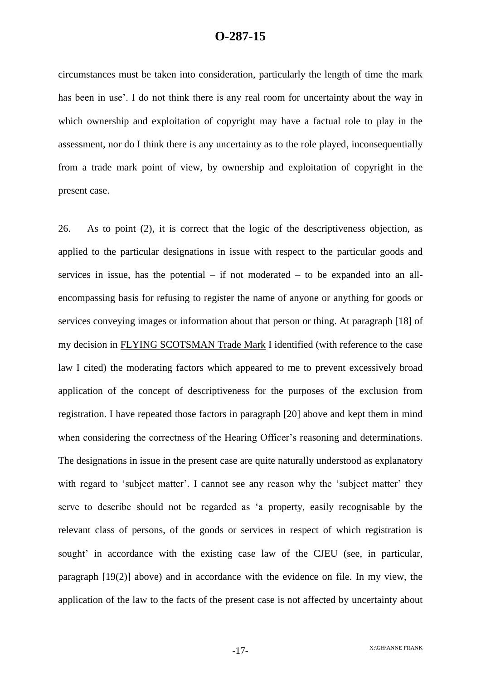circumstances must be taken into consideration, particularly the length of time the mark has been in use'. I do not think there is any real room for uncertainty about the way in which ownership and exploitation of copyright may have a factual role to play in the assessment, nor do I think there is any uncertainty as to the role played, inconsequentially from a trade mark point of view, by ownership and exploitation of copyright in the present case.

26. As to point (2), it is correct that the logic of the descriptiveness objection, as applied to the particular designations in issue with respect to the particular goods and services in issue, has the potential  $-$  if not moderated  $-$  to be expanded into an allencompassing basis for refusing to register the name of anyone or anything for goods or services conveying images or information about that person or thing. At paragraph [18] of my decision in FLYING SCOTSMAN Trade Mark I identified (with reference to the case law I cited) the moderating factors which appeared to me to prevent excessively broad application of the concept of descriptiveness for the purposes of the exclusion from registration. I have repeated those factors in paragraph [20] above and kept them in mind when considering the correctness of the Hearing Officer's reasoning and determinations. The designations in issue in the present case are quite naturally understood as explanatory with regard to 'subject matter'. I cannot see any reason why the 'subject matter' they serve to describe should not be regarded as 'a property, easily recognisable by the relevant class of persons, of the goods or services in respect of which registration is sought' in accordance with the existing case law of the CJEU (see, in particular, paragraph [19(2)] above) and in accordance with the evidence on file. In my view, the application of the law to the facts of the present case is not affected by uncertainty about

-17-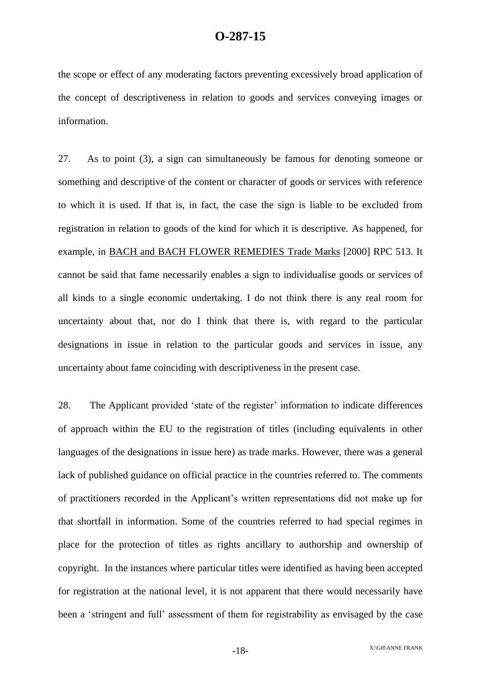the scope or effect of any moderating factors preventing excessively broad application of the concept of descriptiveness in relation to goods and services conveying images or information.

27. As to point (3), a sign can simultaneously be famous for denoting someone or something and descriptive of the content or character of goods or services with reference to which it is used. If that is, in fact, the case the sign is liable to be excluded from registration in relation to goods of the kind for which it is descriptive. As happened, for example, in BACH and BACH FLOWER REMEDIES Trade Marks [2000] RPC 513. It cannot be said that fame necessarily enables a sign to individualise goods or services of all kinds to a single economic undertaking. I do not think there is any real room for uncertainty about that, nor do I think that there is, with regard to the particular designations in issue in relation to the particular goods and services in issue, any uncertainty about fame coinciding with descriptiveness in the present case.

28. The Applicant provided 'state of the register' information to indicate differences of approach within the EU to the registration of titles (including equivalents in other languages of the designations in issue here) as trade marks. However, there was a general lack of published guidance on official practice in the countries referred to. The comments of practitioners recorded in the Applicant's written representations did not make up for that shortfall in information. Some of the countries referred to had special regimes in place for the protection of titles as rights ancillary to authorship and ownership of copyright. In the instances where particular titles were identified as having been accepted for registration at the national level, it is not apparent that there would necessarily have been a 'stringent and full' assessment of them for registrability as envisaged by the case

-18-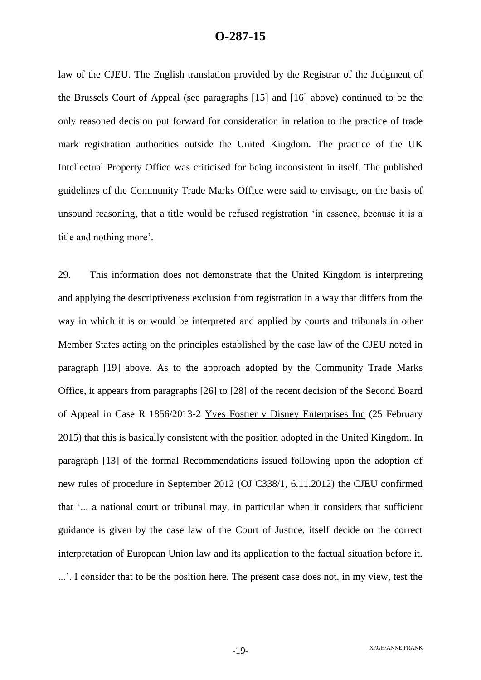law of the CJEU. The English translation provided by the Registrar of the Judgment of the Brussels Court of Appeal (see paragraphs [15] and [16] above) continued to be the only reasoned decision put forward for consideration in relation to the practice of trade mark registration authorities outside the United Kingdom. The practice of the UK Intellectual Property Office was criticised for being inconsistent in itself. The published guidelines of the Community Trade Marks Office were said to envisage, on the basis of unsound reasoning, that a title would be refused registration 'in essence, because it is a title and nothing more'.

29. This information does not demonstrate that the United Kingdom is interpreting and applying the descriptiveness exclusion from registration in a way that differs from the way in which it is or would be interpreted and applied by courts and tribunals in other Member States acting on the principles established by the case law of the CJEU noted in paragraph [19] above. As to the approach adopted by the Community Trade Marks Office, it appears from paragraphs [26] to [28] of the recent decision of the Second Board of Appeal in Case R 1856/2013-2 Yves Fostier v Disney Enterprises Inc (25 February 2015) that this is basically consistent with the position adopted in the United Kingdom. In paragraph [13] of the formal Recommendations issued following upon the adoption of new rules of procedure in September 2012 (OJ C338/1, 6.11.2012) the CJEU confirmed that '... a national court or tribunal may, in particular when it considers that sufficient guidance is given by the case law of the Court of Justice, itself decide on the correct interpretation of European Union law and its application to the factual situation before it. ...'. I consider that to be the position here. The present case does not, in my view, test the

-19-